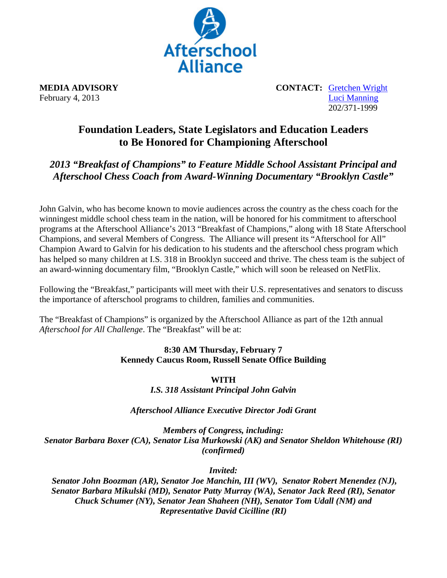

**MEDIA ADVISORY** CONTACT: Gretchen Wright February 4, 2013 Luci Manning 202/371-1999

## **Foundation Leaders, State Legislators and Education Leaders to Be Honored for Championing Afterschool**

## *2013 "Breakfast of Champions" to Feature Middle School Assistant Principal and Afterschool Chess Coach from Award-Winning Documentary "Brooklyn Castle"*

John Galvin, who has become known to movie audiences across the country as the chess coach for the winningest middle school chess team in the nation, will be honored for his commitment to afterschool programs at the Afterschool Alliance's 2013 "Breakfast of Champions," along with 18 State Afterschool Champions, and several Members of Congress. The Alliance will present its "Afterschool for All" Champion Award to Galvin for his dedication to his students and the afterschool chess program which has helped so many children at I.S. 318 in Brooklyn succeed and thrive. The chess team is the subject of an award-winning documentary film, "Brooklyn Castle," which will soon be released on NetFlix.

Following the "Breakfast," participants will meet with their U.S. representatives and senators to discuss the importance of afterschool programs to children, families and communities.

The "Breakfast of Champions" is organized by the Afterschool Alliance as part of the 12th annual *Afterschool for All Challenge*. The "Breakfast" will be at:

## **8:30 AM Thursday, February 7 Kennedy Caucus Room, Russell Senate Office Building**

**WITH**  *I.S. 318 Assistant Principal John Galvin* 

*Afterschool Alliance Executive Director Jodi Grant* 

*Members of Congress, including: Senator Barbara Boxer (CA), Senator Lisa Murkowski (AK) and Senator Sheldon Whitehouse (RI) (confirmed)* 

*Invited:* 

 *Senator John Boozman (AR), Senator Joe Manchin, III (WV), Senator Robert Menendez (NJ), Senator Barbara Mikulski (MD), Senator Patty Murray (WA), Senator Jack Reed (RI), Senator Chuck Schumer (NY), Senator Jean Shaheen (NH), Senator Tom Udall (NM) and Representative David Cicilline (RI)*